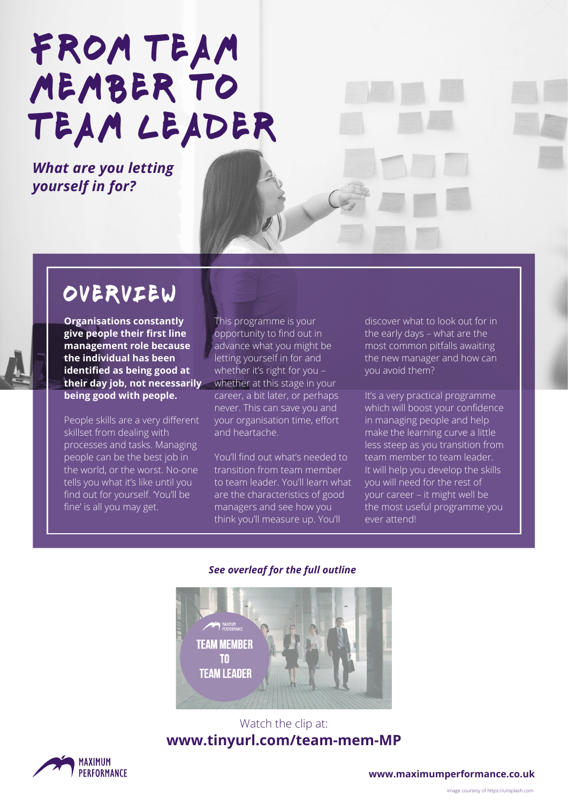# FROM TEAM MEMBER TO team leader

*What are you letting yourself in for?*

## overview

**Organisations constantly give people their first line management role because the individual has been identified as being good at their day job, not necessarily**  whether at this stage in your **being good with people.**

People skills are a very different skillset from dealing with processes and tasks. Managing people can be the best job in the world, or the worst. No-one tells you what it's like until you find out for yourself. 'You'll be fine' is all you may get.

This programme is your opportunity to find out in advance what you might be letting yourself in for and whether it's right for you – career, a bit later, or perhaps never. This can save you and your organisation time, effort and heartache.

You'll find out what's needed to transition from team member to team leader. You'll learn what are the characteristics of good managers and see how you think you'll measure up. You'll

discover what to look out for in the early days – what are the most common pitfalls awaiting the new manager and how can you avoid them?

It's a very practical programme which will boost your confidence in managing people and help make the learning curve a little less steep as you transition from team member to team leader. It will help you develop the skills you will need for the rest of your career – it might well be the most useful programme you ever attend!

#### *See overleaf for the full outline*



#### Watch the clip at: **[www.tinyurl.com/team-mem-MP](http://www.tinyurl.com/team-mem-MP)**



**[www.maximumperformance.co.uk](https://maximumperformance.co.uk/)**